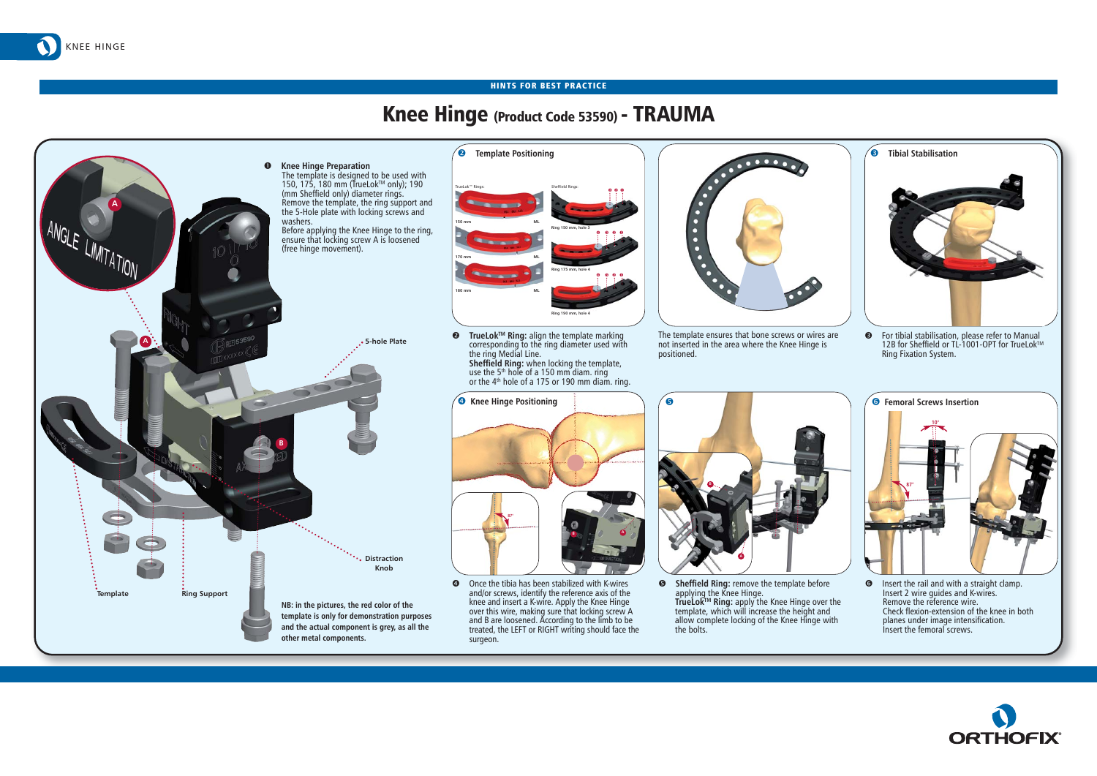## Knee Hinge (Product Code 53590) - TRAUMA



KNEE HINGE